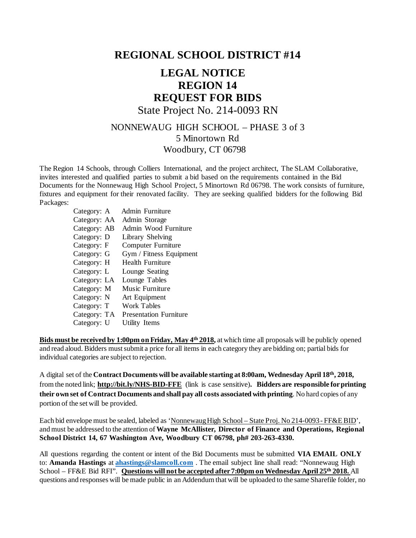## **REGIONAL SCHOOL DISTRICT #14**

## **LEGAL NOTICE REGION 14 REQUEST FOR BIDS**

State Project No. 214-0093 RN

## NONNEWAUG HIGH SCHOOL – PHASE 3 of 3 5 Minortown Rd Woodbury, CT 06798

The Region 14 Schools, through Colliers International, and the project architect, The SLAM Collaborative, invites interested and qualified parties to submit a bid based on the requirements contained in the Bid Documents for the Nonnewaug High School Project, 5 Minortown Rd 06798. The work consists of furniture, fixtures and equipment for their renovated facility. They are seeking qualified bidders for the following Bid Packages:

| Admin Furniture               |
|-------------------------------|
| Admin Storage                 |
| Admin Wood Furniture          |
| Library Shelving              |
| <b>Computer Furniture</b>     |
| Gym / Fitness Equipment       |
| <b>Health Furniture</b>       |
| Lounge Seating                |
| Lounge Tables                 |
| Music Furniture               |
| Art Equipment                 |
| Work Tables                   |
| <b>Presentation Furniture</b> |
| Utility Items                 |
|                               |

**Bids must be received by 1:00pm on Friday, May 4th 2018,** at which time all proposals will be publicly opened and read aloud. Bidders must submit a price for all items in each category they are bidding on; partial bids for individual categories are subject to rejection.

A digital set of the **Contract Documents will be available starting at 8:00am, Wednesday April 18th, 2018,** from the noted link; **<http://bit.ly/NHS-BID-FFE>** (link is case sensitive)**. Bidders are responsible for printing their own set of Contract Documents and shall pay all costs associated with printing**. No hard copies of any portion of the set will be provided.

Each bid envelope must be sealed, labeled as 'Nonnewaug High School – State Proj. No 214-0093 - FF&E BID', and must be addressed to the attention of**Wayne McAllister, Director of Finance and Operations, Regional School District 14, 67 Washington Ave, Woodbury CT 06798, ph# 203-263-4330.** 

All questions regarding the content or intent of the Bid Documents must be submitted **VIA EMAIL ONLY** to: **Amanda Hastings** at **[ahastings@slamcoll.com](mailto:ahastings@slamcoll.com)** . The email subject line shall read: "Nonnewaug High School – FF&E Bid RFI". **Questions will not be accepted after 7:00pm on Wednesday April 25th 2018.** All questions and responses will be made public in an Addendum that will be uploaded to the same Sharefile folder, no